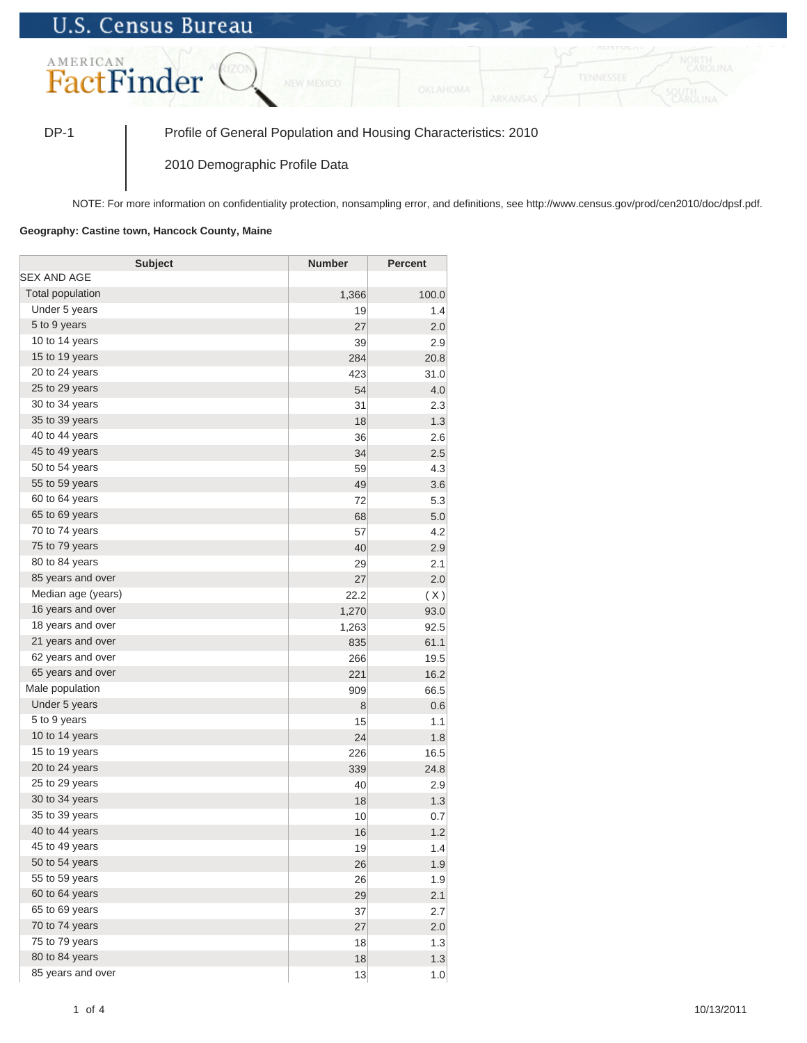## **U.S. Census Bureau**



DP-1 Profile of General Population and Housing Characteristics: 2010

2010 Demographic Profile Data

NOTE: For more information on confidentiality protection, nonsampling error, and definitions, see http://www.census.gov/prod/cen2010/doc/dpsf.pdf.

## **Geography: Castine town, Hancock County, Maine**

| <b>Subject</b>     | <b>Number</b> | <b>Percent</b> |
|--------------------|---------------|----------------|
| SEX AND AGE        |               |                |
| Total population   | 1,366         | 100.0          |
| Under 5 years      | 19            | 1.4            |
| 5 to 9 years       | 27            | 2.0            |
| 10 to 14 years     | 39            | 2.9            |
| 15 to 19 years     | 284           | 20.8           |
| 20 to 24 years     | 423           | 31.0           |
| 25 to 29 years     | 54            | 4.0            |
| 30 to 34 years     | 31            | 2.3            |
| 35 to 39 years     | 18            | 1.3            |
| 40 to 44 years     | 36            | 2.6            |
| 45 to 49 years     | 34            | 2.5            |
| 50 to 54 years     | 59            | 4.3            |
| 55 to 59 years     | 49            | 3.6            |
| 60 to 64 years     | 72            | 5.3            |
| 65 to 69 years     | 68            | 5.0            |
| 70 to 74 years     | 57            | 4.2            |
| 75 to 79 years     | 40            | 2.9            |
| 80 to 84 years     | 29            | 2.1            |
| 85 years and over  | 27            | 2.0            |
| Median age (years) | 22.2          | (X)            |
| 16 years and over  | 1,270         | 93.0           |
| 18 years and over  | 1,263         | 92.5           |
| 21 years and over  | 835           | 61.1           |
| 62 years and over  | 266           | 19.5           |
| 65 years and over  | 221           | 16.2           |
| Male population    | 909           | 66.5           |
| Under 5 years      | 8             | 0.6            |
| 5 to 9 years       | 15            | 1.1            |
| 10 to 14 years     | 24            | 1.8            |
| 15 to 19 years     | 226           | 16.5           |
| 20 to 24 years     | 339           | 24.8           |
| 25 to 29 years     | 40            | 2.9            |
| 30 to 34 years     | 18            | 1.3            |
| 35 to 39 years     | 10            | 0.7            |
| 40 to 44 years     | 16            | 1.2            |
| 45 to 49 years     | 19            | 1.4            |
| 50 to 54 years     | 26            | 1.9            |
| 55 to 59 years     | 26            | 1.9            |
| 60 to 64 years     | 29            | 2.1            |
| 65 to 69 years     | 37            | 2.7            |
| 70 to 74 years     | 27            | 2.0            |
| 75 to 79 years     | 18            | 1.3            |
| 80 to 84 years     | 18            | 1.3            |
| 85 years and over  | 13            | 1.0            |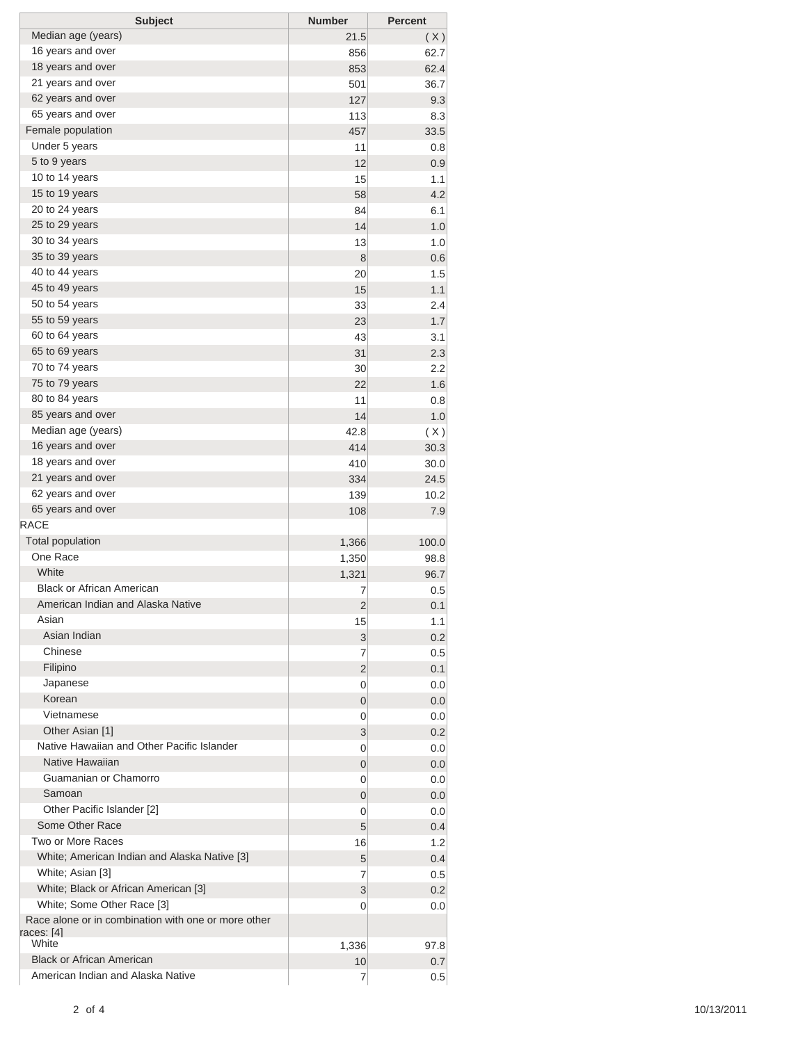| <b>Subject</b>                                                    | <b>Number</b>  | <b>Percent</b> |
|-------------------------------------------------------------------|----------------|----------------|
| Median age (years)                                                | 21.5           | (X)            |
| 16 years and over                                                 | 856            | 62.7           |
| 18 years and over                                                 | 853            | 62.4           |
| 21 years and over                                                 | 501            | 36.7           |
| 62 years and over                                                 | 127            | 9.3            |
| 65 years and over                                                 | 113            | 8.3            |
| Female population                                                 | 457            | 33.5           |
| Under 5 years                                                     | 11             | 0.8            |
| 5 to 9 years                                                      | 12             | 0.9            |
| 10 to 14 years                                                    | 15             | 1.1            |
| 15 to 19 years                                                    | 58             | 4.2            |
| 20 to 24 years                                                    | 84             | 6.1            |
| 25 to 29 years                                                    | 14             | 1.0            |
| 30 to 34 years                                                    | 13             | 1.0            |
| 35 to 39 years                                                    | 8              | 0.6            |
| 40 to 44 years                                                    | 20             | 1.5            |
| 45 to 49 years                                                    | 15             | 1.1            |
| 50 to 54 years                                                    | 33             | 2.4            |
| 55 to 59 years                                                    | 23             | 1.7            |
| 60 to 64 years                                                    | 43             | 3.1            |
| 65 to 69 years                                                    | 31             | 2.3            |
| 70 to 74 years                                                    | 30             | 2.2            |
| 75 to 79 years                                                    | 22             | 1.6            |
| 80 to 84 years                                                    | 11             | 0.8            |
| 85 years and over                                                 | 14             | 1.0            |
| Median age (years)                                                | 42.8           | (X)            |
| 16 years and over                                                 | 414            | 30.3           |
| 18 years and over                                                 | 410            | 30.0           |
| 21 years and over                                                 | 334            | 24.5           |
| 62 years and over                                                 | 139            | 10.2           |
| 65 years and over                                                 | 108            | 7.9            |
| RACE                                                              |                |                |
| <b>Total population</b>                                           | 1,366          | 100.0          |
| One Race                                                          | 1,350          | 98.8           |
| White                                                             | 1,321          | 96.7           |
| <b>Black or African American</b>                                  | 7              | 0.5            |
| American Indian and Alaska Native                                 | 2              | 0.1            |
| Asian                                                             | 15             | 1.1            |
| Asian Indian                                                      | 3              | 0.2            |
| Chinese                                                           | 7              | 0.5            |
| Filipino                                                          | $\overline{2}$ | 0.1            |
| Japanese                                                          | 0              | 0.0            |
| Korean                                                            | 0              | 0.0            |
| Vietnamese                                                        | 0              | 0.0            |
| Other Asian [1]                                                   | 3              | 0.2            |
| Native Hawaiian and Other Pacific Islander                        | 0              | 0.0            |
| Native Hawaiian                                                   | 0              | 0.0            |
| Guamanian or Chamorro                                             | 0              | 0.0            |
| Samoan                                                            | 0              | 0.0            |
| Other Pacific Islander [2]                                        | 0              | 0.0            |
| Some Other Race                                                   | 5              | 0.4            |
| Two or More Races                                                 | 16             | 1.2            |
| White; American Indian and Alaska Native [3]                      | 5              | 0.4            |
| White; Asian [3]                                                  | 7              | 0.5            |
| White; Black or African American [3]                              | 3              | 0.2            |
| White; Some Other Race [3]                                        | 0              | 0.0            |
| Race alone or in combination with one or more other<br>races: [4] |                |                |
| White                                                             | 1,336          | 97.8           |
| <b>Black or African American</b>                                  | 10             | 0.7            |
| American Indian and Alaska Native                                 | 7              | 0.5            |
|                                                                   |                |                |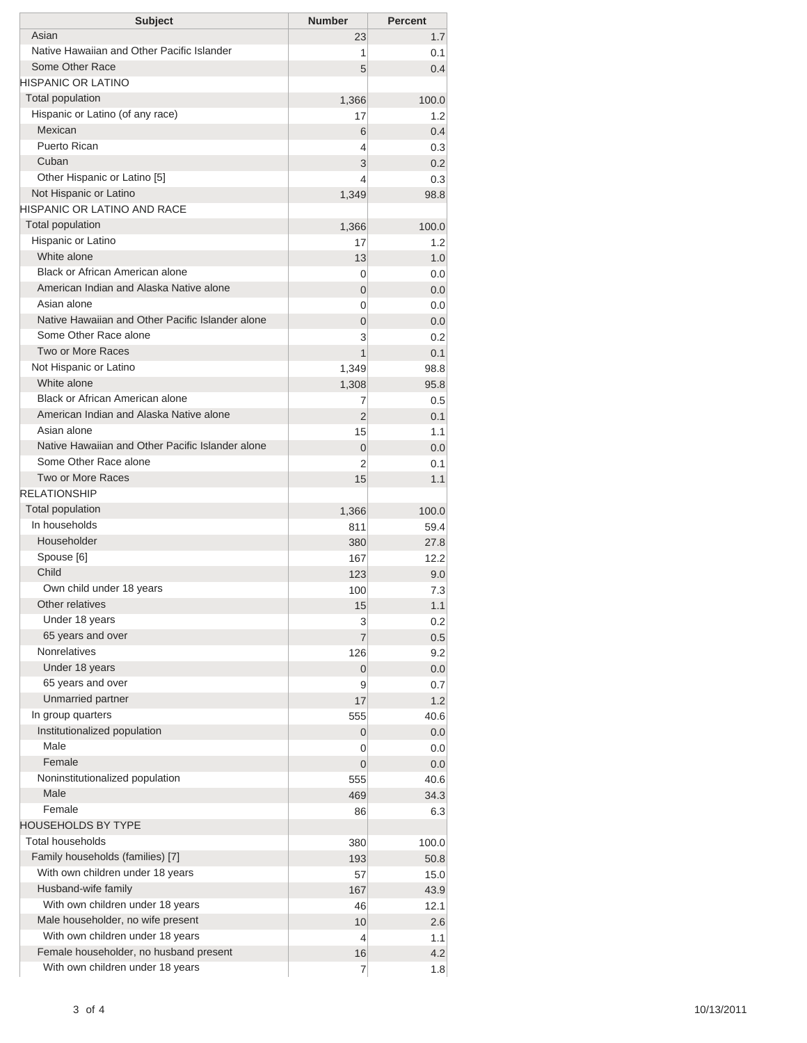| <b>Subject</b>                                   | <b>Number</b>  | <b>Percent</b> |
|--------------------------------------------------|----------------|----------------|
| Asian                                            | 23             | 1.7            |
| Native Hawaiian and Other Pacific Islander       | 1              | 0.1            |
| Some Other Race                                  | 5              | 0.4            |
| HISPANIC OR LATINO                               |                |                |
| <b>Total population</b>                          | 1,366          | 100.0          |
| Hispanic or Latino (of any race)                 | 17             | 1.2            |
| Mexican                                          | 6              | 0.4            |
| Puerto Rican                                     | 4              | 0.3            |
| Cuban                                            | 3              | 0.2            |
| Other Hispanic or Latino [5]                     | 4              | 0.3            |
| Not Hispanic or Latino                           | 1,349          | 98.8           |
| HISPANIC OR LATINO AND RACE                      |                |                |
| <b>Total population</b>                          | 1,366          | 100.0          |
| Hispanic or Latino                               | 17             | 1.2            |
| White alone                                      | 13             | 1.0            |
| Black or African American alone                  | 0              | 0.0            |
| American Indian and Alaska Native alone          | 0              | 0.0            |
| Asian alone                                      | 0              | 0.0            |
| Native Hawaiian and Other Pacific Islander alone | $\overline{0}$ | 0.0            |
| Some Other Race alone                            | 3              | 0.2            |
| Two or More Races                                | 1              | 0.1            |
| Not Hispanic or Latino                           | 1,349          | 98.8           |
| White alone                                      | 1,308          | 95.8           |
| Black or African American alone                  | 7              | 0.5            |
| American Indian and Alaska Native alone          | $\overline{2}$ | 0.1            |
| Asian alone                                      | 15             | 1.1            |
| Native Hawaiian and Other Pacific Islander alone | 0              | 0.0            |
| Some Other Race alone                            | 2              | 0.1            |
| Two or More Races                                | 15             | 1.1            |
| <b>RELATIONSHIP</b>                              |                |                |
| Total population                                 | 1,366          | 100.0          |
| In households                                    | 811            | 59.4           |
| Householder                                      | 380            | 27.8           |
| Spouse [6]<br>Child                              | 167            | 12.2           |
|                                                  | 123            | 9.0            |
| Own child under 18 years<br>Other relatives      | 100            | 7.3            |
| Under 18 years                                   | 15             | 1.1            |
| 65 years and over                                | 3              | 0.2            |
| <b>Nonrelatives</b>                              | $\overline{7}$ | 0.5            |
| Under 18 years                                   | 126            | 9.2            |
| 65 years and over                                | 0<br>9         | 0.0<br>0.7     |
| Unmarried partner                                | 17             | 1.2            |
| In group quarters                                | 555            | 40.6           |
| Institutionalized population                     | 0              | 0.0            |
| Male                                             | 0              | 0.0            |
| Female                                           | 0              | 0.0            |
| Noninstitutionalized population                  | 555            | 40.6           |
| Male                                             | 469            | 34.3           |
| Female                                           | 86             | 6.3            |
| HOUSEHOLDS BY TYPE                               |                |                |
| <b>Total households</b>                          | 380            | 100.0          |
| Family households (families) [7]                 | 193            | 50.8           |
| With own children under 18 years                 | 57             | 15.0           |
| Husband-wife family                              | 167            | 43.9           |
| With own children under 18 years                 | 46             | 12.1           |
| Male householder, no wife present                | 10             | 2.6            |
| With own children under 18 years                 | 4              | 1.1            |
| Female householder, no husband present           | 16             | 4.2            |
| With own children under 18 years                 | 7              | 1.8            |
|                                                  |                |                |